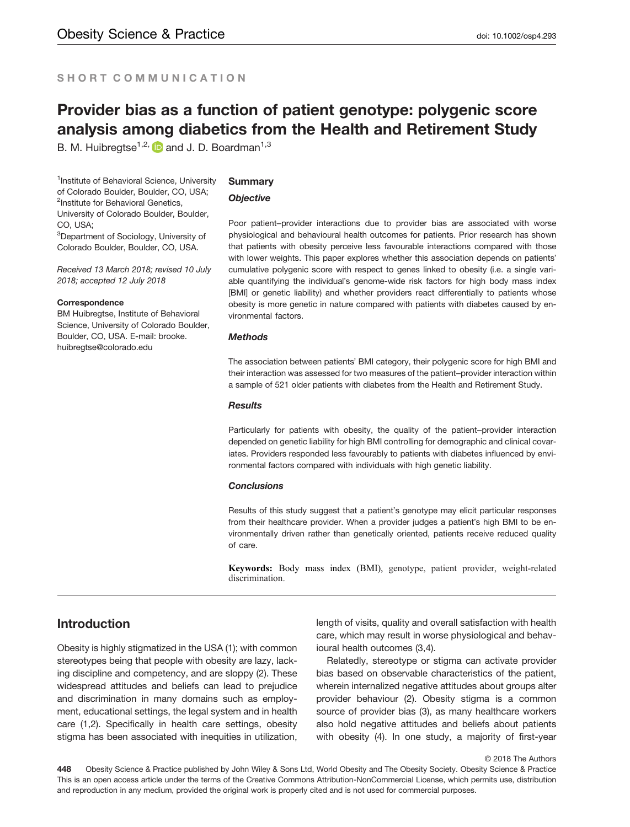### SHORT COMMUNICATION

# Provider bias as a function of patient genotype: polygenic score analysis among diabetics from the Health and Retirement Study

B. M. Huibregtse<sup>1,2,</sup>  $\bullet$  and J. D. Boardman<sup>1,3</sup>

<sup>1</sup>Institute of Behavioral Science, University of Colorado Boulder, Boulder, CO, USA; <sup>2</sup>Institute for Behavioral Genetics, University of Colorado Boulder, Boulder,

CO, USA; <sup>3</sup>Department of Sociology, University of

Colorado Boulder, Boulder, CO, USA.

Received 13 March 2018; revised 10 July 2018; accepted 12 July 2018

#### **Correspondence**

BM Huibregtse, Institute of Behavioral Science, University of Colorado Boulder, Boulder, CO, USA. E-mail: brooke. huibregtse@colorado.edu

#### **Summary**

#### **Objective**

Poor patient–provider interactions due to provider bias are associated with worse physiological and behavioural health outcomes for patients. Prior research has shown that patients with obesity perceive less favourable interactions compared with those with lower weights. This paper explores whether this association depends on patients' cumulative polygenic score with respect to genes linked to obesity (i.e. a single variable quantifying the individual's genome-wide risk factors for high body mass index [BMI] or genetic liability) and whether providers react differentially to patients whose obesity is more genetic in nature compared with patients with diabetes caused by environmental factors.

#### **Methods**

The association between patients' BMI category, their polygenic score for high BMI and their interaction was assessed for two measures of the patient–provider interaction within a sample of 521 older patients with diabetes from the Health and Retirement Study.

#### **Results**

Particularly for patients with obesity, the quality of the patient–provider interaction depended on genetic liability for high BMI controlling for demographic and clinical covariates. Providers responded less favourably to patients with diabetes influenced by environmental factors compared with individuals with high genetic liability.

#### **Conclusions**

Results of this study suggest that a patient's genotype may elicit particular responses from their healthcare provider. When a provider judges a patient's high BMI to be environmentally driven rather than genetically oriented, patients receive reduced quality of care.

Keywords: Body mass index (BMI), genotype, patient provider, weight-related discrimination.

### Introduction

Obesity is highly stigmatized in the USA (1); with common stereotypes being that people with obesity are lazy, lacking discipline and competency, and are sloppy (2). These widespread attitudes and beliefs can lead to prejudice and discrimination in many domains such as employment, educational settings, the legal system and in health care (1,2). Specifically in health care settings, obesity stigma has been associated with inequities in utilization, length of visits, quality and overall satisfaction with health care, which may result in worse physiological and behavioural health outcomes (3,4).

Relatedly, stereotype or stigma can activate provider bias based on observable characteristics of the patient, wherein internalized negative attitudes about groups alter provider behaviour (2). Obesity stigma is a common source of provider bias (3), as many healthcare workers also hold negative attitudes and beliefs about patients with obesity (4). In one study, a majority of first-year

© 2018 The Authors

<sup>448</sup> Obesity Science & Practice published by John Wiley & Sons Ltd, World Obesity and The Obesity Society. Obesity Science & Practice This is an open access article under the terms of the [Creative Commons Attribution-NonCommercial](http://creativecommons.org/licenses/by-nc/4.0/) License, which permits use, distribution and reproduction in any medium, provided the original work is properly cited and is not used for commercial purposes.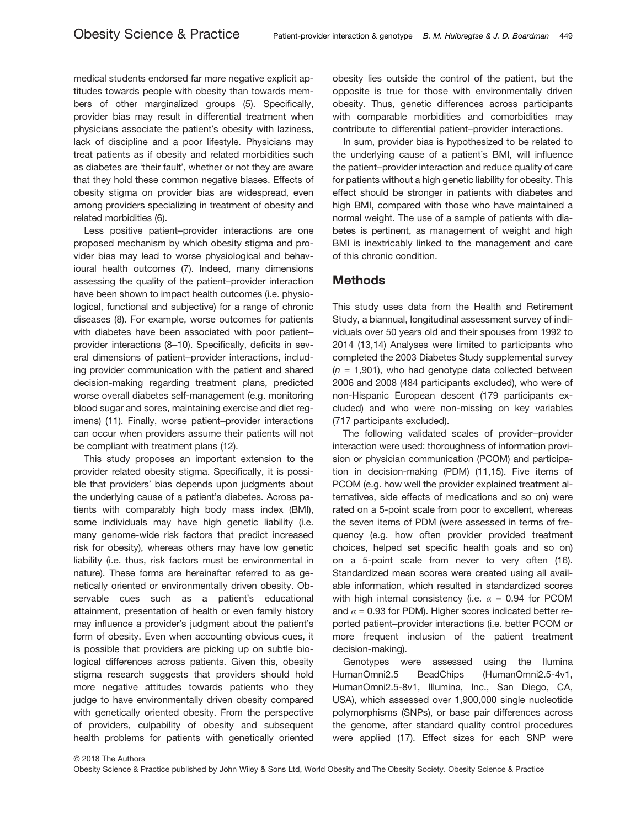medical students endorsed far more negative explicit aptitudes towards people with obesity than towards members of other marginalized groups (5). Specifically, provider bias may result in differential treatment when physicians associate the patient's obesity with laziness, lack of discipline and a poor lifestyle. Physicians may treat patients as if obesity and related morbidities such as diabetes are 'their fault', whether or not they are aware that they hold these common negative biases. Effects of obesity stigma on provider bias are widespread, even among providers specializing in treatment of obesity and related morbidities (6).

Less positive patient–provider interactions are one proposed mechanism by which obesity stigma and provider bias may lead to worse physiological and behavioural health outcomes (7). Indeed, many dimensions assessing the quality of the patient–provider interaction have been shown to impact health outcomes (i.e. physiological, functional and subjective) for a range of chronic diseases (8). For example, worse outcomes for patients with diabetes have been associated with poor patient– provider interactions (8–10). Specifically, deficits in several dimensions of patient–provider interactions, including provider communication with the patient and shared decision-making regarding treatment plans, predicted worse overall diabetes self-management (e.g. monitoring blood sugar and sores, maintaining exercise and diet regimens) (11). Finally, worse patient–provider interactions can occur when providers assume their patients will not be compliant with treatment plans (12).

This study proposes an important extension to the provider related obesity stigma. Specifically, it is possible that providers' bias depends upon judgments about the underlying cause of a patient's diabetes. Across patients with comparably high body mass index (BMI), some individuals may have high genetic liability (i.e. many genome-wide risk factors that predict increased risk for obesity), whereas others may have low genetic liability (i.e. thus, risk factors must be environmental in nature). These forms are hereinafter referred to as genetically oriented or environmentally driven obesity. Observable cues such as a patient's educational attainment, presentation of health or even family history may influence a provider's judgment about the patient's form of obesity. Even when accounting obvious cues, it is possible that providers are picking up on subtle biological differences across patients. Given this, obesity stigma research suggests that providers should hold more negative attitudes towards patients who they judge to have environmentally driven obesity compared with genetically oriented obesity. From the perspective of providers, culpability of obesity and subsequent health problems for patients with genetically oriented obesity lies outside the control of the patient, but the opposite is true for those with environmentally driven obesity. Thus, genetic differences across participants with comparable morbidities and comorbidities may contribute to differential patient–provider interactions.

In sum, provider bias is hypothesized to be related to the underlying cause of a patient's BMI, will influence the patient–provider interaction and reduce quality of care for patients without a high genetic liability for obesity. This effect should be stronger in patients with diabetes and high BMI, compared with those who have maintained a normal weight. The use of a sample of patients with diabetes is pertinent, as management of weight and high BMI is inextricably linked to the management and care of this chronic condition.

### Methods

This study uses data from the Health and Retirement Study, a biannual, longitudinal assessment survey of individuals over 50 years old and their spouses from 1992 to 2014 (13,14) Analyses were limited to participants who completed the 2003 Diabetes Study supplemental survey  $(n = 1,901)$ , who had genotype data collected between 2006 and 2008 (484 participants excluded), who were of non-Hispanic European descent (179 participants excluded) and who were non-missing on key variables (717 participants excluded).

The following validated scales of provider–provider interaction were used: thoroughness of information provision or physician communication (PCOM) and participation in decision-making (PDM) (11,15). Five items of PCOM (e.g. how well the provider explained treatment alternatives, side effects of medications and so on) were rated on a 5-point scale from poor to excellent, whereas the seven items of PDM (were assessed in terms of frequency (e.g. how often provider provided treatment choices, helped set specific health goals and so on) on a 5-point scale from never to very often (16). Standardized mean scores were created using all available information, which resulted in standardized scores with high internal consistency (i.e.  $\alpha = 0.94$  for PCOM and  $\alpha$  = 0.93 for PDM). Higher scores indicated better reported patient–provider interactions (i.e. better PCOM or more frequent inclusion of the patient treatment decision-making).

Genotypes were assessed using the llumina HumanOmni2.5 BeadChips (HumanOmni2.5-4v1, HumanOmni2.5-8v1, Illumina, Inc., San Diego, CA, USA), which assessed over 1,900,000 single nucleotide polymorphisms (SNPs), or base pair differences across the genome, after standard quality control procedures were applied (17). Effect sizes for each SNP were

© 2018 The Authors Obesity Science & Practice published by John Wiley & Sons Ltd, World Obesity and The Obesity Society. Obesity Science & Practice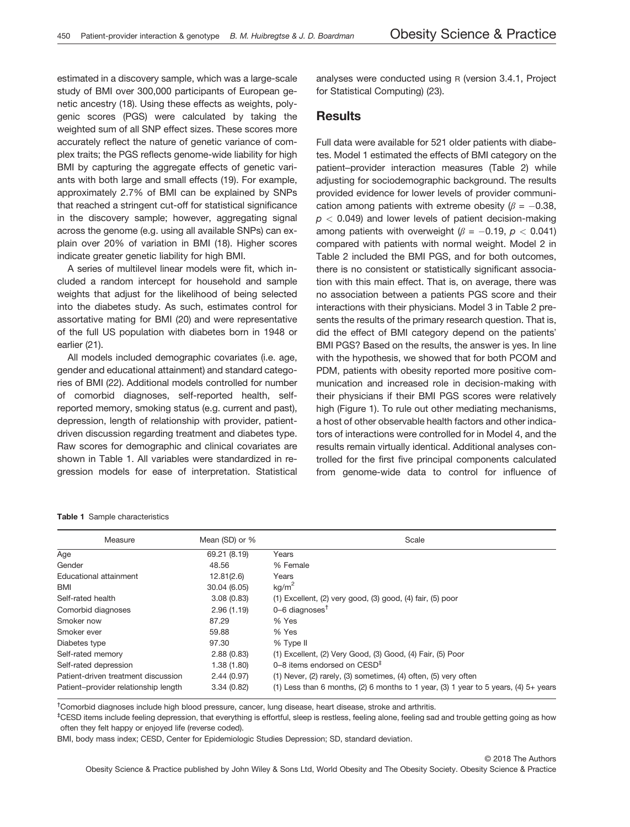estimated in a discovery sample, which was a large-scale study of BMI over 300,000 participants of European genetic ancestry (18). Using these effects as weights, polygenic scores (PGS) were calculated by taking the weighted sum of all SNP effect sizes. These scores more accurately reflect the nature of genetic variance of complex traits; the PGS reflects genome-wide liability for high BMI by capturing the aggregate effects of genetic variants with both large and small effects (19). For example, approximately 2.7% of BMI can be explained by SNPs that reached a stringent cut-off for statistical significance in the discovery sample; however, aggregating signal across the genome (e.g. using all available SNPs) can explain over 20% of variation in BMI (18). Higher scores indicate greater genetic liability for high BMI.

A series of multilevel linear models were fit, which included a random intercept for household and sample weights that adjust for the likelihood of being selected into the diabetes study. As such, estimates control for assortative mating for BMI (20) and were representative of the full US population with diabetes born in 1948 or earlier (21).

All models included demographic covariates (i.e. age, gender and educational attainment) and standard categories of BMI (22). Additional models controlled for number of comorbid diagnoses, self-reported health, selfreported memory, smoking status (e.g. current and past), depression, length of relationship with provider, patientdriven discussion regarding treatment and diabetes type. Raw scores for demographic and clinical covariates are shown in Table 1. All variables were standardized in regression models for ease of interpretation. Statistical

analyses were conducted using R (version 3.4.1, Project for Statistical Computing) (23).

### **Results**

Full data were available for 521 older patients with diabetes. Model 1 estimated the effects of BMI category on the patient–provider interaction measures (Table 2) while adjusting for sociodemographic background. The results provided evidence for lower levels of provider communication among patients with extreme obesity ( $\beta = -0.38$ ,  $p < 0.049$ ) and lower levels of patient decision-making among patients with overweight ( $\beta = -0.19$ ,  $p < 0.041$ ) compared with patients with normal weight. Model 2 in Table 2 included the BMI PGS, and for both outcomes, there is no consistent or statistically significant association with this main effect. That is, on average, there was no association between a patients PGS score and their interactions with their physicians. Model 3 in Table 2 presents the results of the primary research question. That is, did the effect of BMI category depend on the patients' BMI PGS? Based on the results, the answer is yes. In line with the hypothesis, we showed that for both PCOM and PDM, patients with obesity reported more positive communication and increased role in decision-making with their physicians if their BMI PGS scores were relatively high (Figure 1). To rule out other mediating mechanisms, a host of other observable health factors and other indicators of interactions were controlled for in Model 4, and the results remain virtually identical. Additional analyses controlled for the first five principal components calculated from genome-wide data to control for influence of

#### Table 1 Sample characteristics

| Measure                              | Mean (SD) or % | Scale                                                                                 |
|--------------------------------------|----------------|---------------------------------------------------------------------------------------|
| Age                                  | 69.21 (8.19)   | Years                                                                                 |
| Gender                               | 48.56          | % Female                                                                              |
| Educational attainment               | 12.81(2.6)     | Years                                                                                 |
| BMI                                  | 30.04 (6.05)   | kg/m <sup>2</sup>                                                                     |
| Self-rated health                    | 3.08(0.83)     | $(1)$ Excellent, $(2)$ very good, $(3)$ good, $(4)$ fair, $(5)$ poor                  |
| Comorbid diagnoses                   | 2.96(1.19)     | 0-6 diagnoses <sup>t</sup>                                                            |
| Smoker now                           | 87.29          | % Yes                                                                                 |
| Smoker ever                          | 59.88          | % Yes                                                                                 |
| Diabetes type                        | 97.30          | % Type II                                                                             |
| Self-rated memory                    | 2.88(0.83)     | (1) Excellent, (2) Very Good, (3) Good, (4) Fair, (5) Poor                            |
| Self-rated depression                | 1.38(1.80)     | $0-8$ items endorsed on CESD <sup>‡</sup>                                             |
| Patient-driven treatment discussion  | 2.44(0.97)     | $(1)$ Never, $(2)$ rarely, $(3)$ sometimes, $(4)$ often, $(5)$ very often             |
| Patient-provider relationship length | 3.34(0.82)     | (1) Less than 6 months, (2) 6 months to 1 year, (3) 1 year to 5 years, (4) $5+$ years |

† Comorbid diagnoses include high blood pressure, cancer, lung disease, heart disease, stroke and arthritis.

‡ CESD items include feeling depression, that everything is effortful, sleep is restless, feeling alone, feeling sad and trouble getting going as how often they felt happy or enjoyed life (reverse coded).

BMI, body mass index; CESD, Center for Epidemiologic Studies Depression; SD, standard deviation.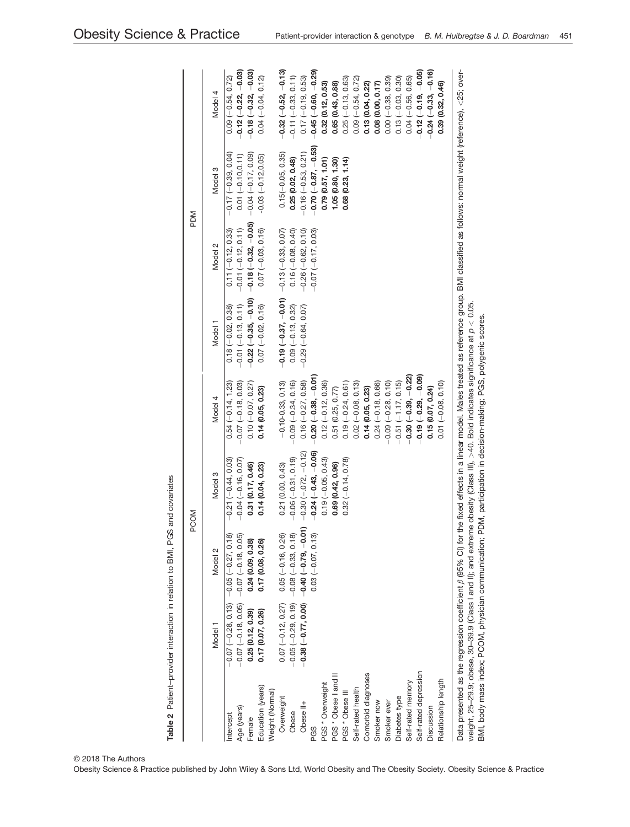Table 2 Patient-provider interaction in relation to BMI, PGS and covariates Table 2 Patient–provider interaction in relation to BMI, PGS and covariates

| © 2018 The Authors                                                                                                               |  |  |  |  |  |
|----------------------------------------------------------------------------------------------------------------------------------|--|--|--|--|--|
| Obesity Science & Practice published by John Wiley & Sons Ltd, World Obesity and The Obesity Society. Obesity Science & Practice |  |  |  |  |  |

|                       |                         |                                                 | PCOM                                                                                                                                                                                                      |                      |                                            | PDM                   |                       |                          |
|-----------------------|-------------------------|-------------------------------------------------|-----------------------------------------------------------------------------------------------------------------------------------------------------------------------------------------------------------|----------------------|--------------------------------------------|-----------------------|-----------------------|--------------------------|
|                       | Model 1                 | Model 2                                         | Model 3                                                                                                                                                                                                   | Model 4              | Model 1                                    | Model 2               | Model 3               | Model 4                  |
| ntercept              | $-0.07$ $(-0.28, 0.13)$ | $\overline{-0.05}$ ( $-0.27$ , 0.18)            | $-0.21(-0.44, 0.03)$                                                                                                                                                                                      | $0.54 (-0.14, 1.23)$ | $0.18(-0.02, 0.38)$                        | $0.11 (-0.12, 0.33)$  | $-0.17 (-0.39, 0.04)$ | $0.09 (-0.54, 0.72)$     |
| Age (years)           |                         | $-0.07$ $(-0.18, 0.05)$ $-0.07$ $(-0.18, 0.05)$ | $-0.04(-0.16, 0.07)$                                                                                                                                                                                      | $-0.07(-0.18, 0.03)$ | $-0.01(-0.13, 0.11)$                       | $-0.01(-0.12, 0.11)$  | $0.01 (-0.10, 0.11)$  | $-0.12$ $(-0.22, -0.03)$ |
| Female                | 0.25 (0.12, 0.39)       | 0.24 (0.09, 0.38)                               | 0.31 (0.17, 0.46)                                                                                                                                                                                         | $0.10 (-0.07, 0.27)$ | $-0.22(-0.35, -0.10)$                      | $-0.18(-0.32,-0.05)$  | $-0.04 (-0.17, 0.09)$ | $-0.18(-0.32,-0.03)$     |
| Education (years)     | 0.17 (0.07, 0.26)       | 0.17 (0.08, 0.26)                               | 0.14 (0.04, 0.23)                                                                                                                                                                                         | 0.14 (0.05, 0.23)    | $0.07 (-0.02, 0.16)$                       | $0.07 (-0.03, 0.16)$  | $-0.03(-0.12, 0.05)$  | $0.04 (-0.04, 0.12)$     |
| Weight (Normal)       |                         |                                                 |                                                                                                                                                                                                           |                      |                                            |                       |                       |                          |
| Overweight            | $0.07 (-0.12, 0.27)$    | $0.05 (-0.16, 0.26)$                            | 0.21 (0.00, 0.43)                                                                                                                                                                                         | $-0.10 - 0.33, 0.13$ | $-0.19(-0.37, -0.01)$ $-0.13(-0.33, 0.07)$ |                       | $0.15(-0.05, 0.35)$   | $-0.32(-0.52,-0.13)$     |
| Obese                 |                         | $-0.05 (-0.29, 0.19) -0.08 (-0.33, 0.18)$       | $-0.06(-0.31, 0.19)$                                                                                                                                                                                      | $-0.09(-0.34, 0.16)$ | $0.09 (-0.13, 0.32)$                       | $0.16 (-0.08, 0.40)$  | 0.25(0.02, 0.48)      | $-0.11(-0.33, 0.11)$     |
| Obese II+             |                         | $-0.38 (-0.77, 0.00) -0.40 (-0.79, -0.01)$      | $-0.30$ $(-.072, -0.12)$                                                                                                                                                                                  | $0.16 (-0.27, 0.58)$ | $-0.29(-0.64, 0.07)$                       | $-0.26(-0.62, 0.10)$  | $-0.16(-0.53, 0.21)$  | $0.17 (-0.19, 0.53)$     |
| PGS                   |                         | $0.03 (-0.07, 0.13)$                            | $-0.24$ ( $-0.43, -0.06$ )                                                                                                                                                                                | $-0.20(-0.38,-0.01)$ |                                            | $-0.07 (-0.17, 0.03)$ | $-0.70(-0.87, -0.53)$ | $-0.45$ $(-0.60, -0.29)$ |
| PGS * Overweight      |                         |                                                 | $0.19 (-0.05, 0.43)$                                                                                                                                                                                      | $0.12 (-0.12, 0.36)$ |                                            |                       | 0.79 (0.57, 1.01)     | 0.32 (0.12, 0.53)        |
| PGS * Obese I and II  |                         |                                                 | 0.69 (0.42, 0.96)                                                                                                                                                                                         | 0.51(0.25, 0.77)     |                                            |                       | 1.05 (0.80, 1.30)     | 0.65 (0.43, 0.88)        |
| PGS * Obese III       |                         |                                                 | $0.32(-0.14, 0.78)$                                                                                                                                                                                       | $0.19 (-0.24, 0.61)$ |                                            |                       | 0.68(0.23, 1.14)      | $0.25 (-0.13, 0.63)$     |
| Self-rated health     |                         |                                                 |                                                                                                                                                                                                           | $0.02$ (-0.08, 0.13) |                                            |                       |                       | $0.09 (-0.54, 0.72)$     |
| Comorbid diagnoses    |                         |                                                 |                                                                                                                                                                                                           | 0.14(0.05, 0.23)     |                                            |                       |                       | 0.13 (0.04, 0.22)        |
| Smoker now            |                         |                                                 |                                                                                                                                                                                                           | $0.24 (-0.18, 0.66)$ |                                            |                       |                       | 0.08 (0.00, 0.17)        |
| Smoker ever           |                         |                                                 |                                                                                                                                                                                                           | $-0.09(-0.28, 0.10)$ |                                            |                       |                       | $0.00 (-0.38, 0.39)$     |
| Diabetes type         |                         |                                                 |                                                                                                                                                                                                           | $-0.51(-1.17, 0.15)$ |                                            |                       |                       | $0.13 (-0.03, 0.30)$     |
| Self-rated memory     |                         |                                                 |                                                                                                                                                                                                           | $-0.30(-0.39,-0.22)$ |                                            |                       |                       | $0.04 (-0.56, 0.65)$     |
| Self-rated depression |                         |                                                 |                                                                                                                                                                                                           | $-0.19(-0.29,-0.09)$ |                                            |                       |                       | $-0.12(-0.19,-0.05)$     |
| Discussion            |                         |                                                 |                                                                                                                                                                                                           | 0.15(0.07, 0.24)     |                                            |                       |                       | $-0.24(-0.33,-0.16)$     |
| Relationship length   |                         |                                                 |                                                                                                                                                                                                           | $0.01 (-0.08, 0.10)$ |                                            |                       |                       | 0.39(0.32, 0.46)         |
|                       |                         |                                                 | Data presented as the regression coefficient $\beta$ (95% CI) for the fixed effects in a linear model. Males treated as reference group. BMI classified as follows: normal weight (reference), <25; over- |                      |                                            |                       |                       |                          |
|                       |                         |                                                 |                                                                                                                                                                                                           |                      |                                            |                       |                       |                          |

weight, 25-29.9; obese, 30-39.9 (Class I and II); and extreme obesity (Class III), >40. Bold indicates significance at  $p < 0.05$ .  $>$ 40. Bold indicates significance at  $p < 0.05$ . BMI, body mass index; PCOM, physician communication; PDM, participation in decision-making; PGS, polygenic scores. BMI, body mass index; PCOM, physician communication; PDM, participation in decision-making; PGS, polygenic scores. weight, 25–29.9; obese, 30–39.9 (Class I and II); and extreme obesity (Class III),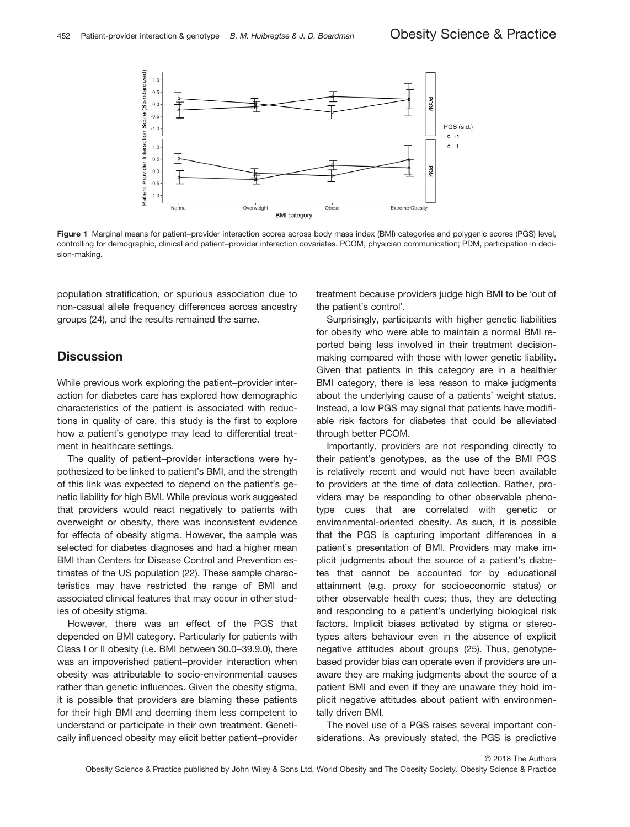

Figure 1 Marginal means for patient–provider interaction scores across body mass index (BMI) categories and polygenic scores (PGS) level, controlling for demographic, clinical and patient–provider interaction covariates. PCOM, physician communication; PDM, participation in decision-making.

population stratification, or spurious association due to non-casual allele frequency differences across ancestry groups (24), and the results remained the same.

### **Discussion**

While previous work exploring the patient–provider interaction for diabetes care has explored how demographic characteristics of the patient is associated with reductions in quality of care, this study is the first to explore how a patient's genotype may lead to differential treatment in healthcare settings.

The quality of patient–provider interactions were hypothesized to be linked to patient's BMI, and the strength of this link was expected to depend on the patient's genetic liability for high BMI. While previous work suggested that providers would react negatively to patients with overweight or obesity, there was inconsistent evidence for effects of obesity stigma. However, the sample was selected for diabetes diagnoses and had a higher mean BMI than Centers for Disease Control and Prevention estimates of the US population (22). These sample characteristics may have restricted the range of BMI and associated clinical features that may occur in other studies of obesity stigma.

However, there was an effect of the PGS that depended on BMI category. Particularly for patients with Class I or II obesity (i.e. BMI between 30.0–39.9.0), there was an impoverished patient–provider interaction when obesity was attributable to socio-environmental causes rather than genetic influences. Given the obesity stigma, it is possible that providers are blaming these patients for their high BMI and deeming them less competent to understand or participate in their own treatment. Genetically influenced obesity may elicit better patient–provider treatment because providers judge high BMI to be 'out of the patient's control'.

Surprisingly, participants with higher genetic liabilities for obesity who were able to maintain a normal BMI reported being less involved in their treatment decisionmaking compared with those with lower genetic liability. Given that patients in this category are in a healthier BMI category, there is less reason to make judgments about the underlying cause of a patients' weight status. Instead, a low PGS may signal that patients have modifiable risk factors for diabetes that could be alleviated through better PCOM.

Importantly, providers are not responding directly to their patient's genotypes, as the use of the BMI PGS is relatively recent and would not have been available to providers at the time of data collection. Rather, providers may be responding to other observable phenotype cues that are correlated with genetic or environmental-oriented obesity. As such, it is possible that the PGS is capturing important differences in a patient's presentation of BMI. Providers may make implicit judgments about the source of a patient's diabetes that cannot be accounted for by educational attainment (e.g. proxy for socioeconomic status) or other observable health cues; thus, they are detecting and responding to a patient's underlying biological risk factors. Implicit biases activated by stigma or stereotypes alters behaviour even in the absence of explicit negative attitudes about groups (25). Thus, genotypebased provider bias can operate even if providers are unaware they are making judgments about the source of a patient BMI and even if they are unaware they hold implicit negative attitudes about patient with environmentally driven BMI.

The novel use of a PGS raises several important considerations. As previously stated, the PGS is predictive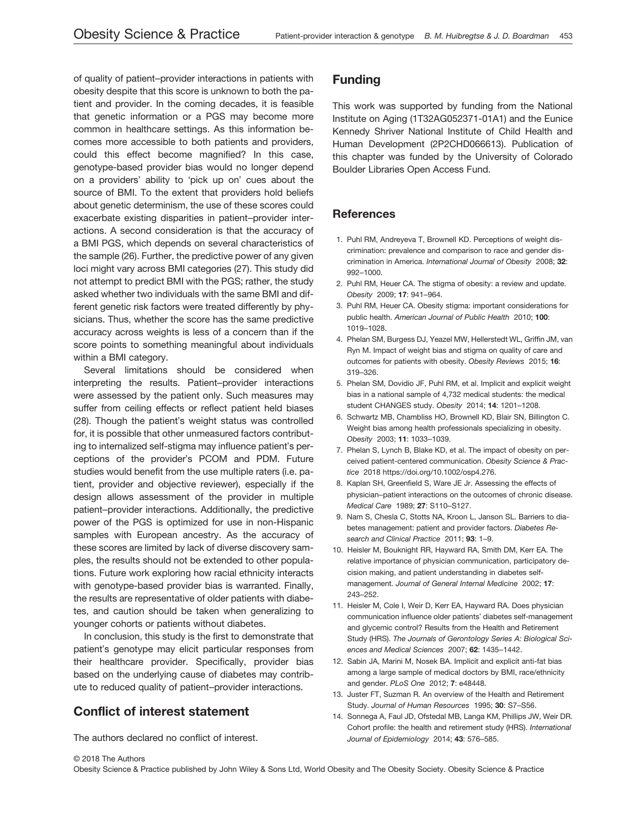of quality of patient–provider interactions in patients with obesity despite that this score is unknown to both the patient and provider. In the coming decades, it is feasible that genetic information or a PGS may become more common in healthcare settings. As this information becomes more accessible to both patients and providers, could this effect become magnified? In this case, genotype-based provider bias would no longer depend on a providers' ability to 'pick up on' cues about the source of BMI. To the extent that providers hold beliefs about genetic determinism, the use of these scores could exacerbate existing disparities in patient–provider interactions. A second consideration is that the accuracy of a BMI PGS, which depends on several characteristics of the sample (26). Further, the predictive power of any given loci might vary across BMI categories (27). This study did not attempt to predict BMI with the PGS; rather, the study asked whether two individuals with the same BMI and different genetic risk factors were treated differently by physicians. Thus, whether the score has the same predictive accuracy across weights is less of a concern than if the score points to something meaningful about individuals within a BMI category.

Several limitations should be considered when interpreting the results. Patient–provider interactions were assessed by the patient only. Such measures may suffer from ceiling effects or reflect patient held biases (28). Though the patient's weight status was controlled for, it is possible that other unmeasured factors contributing to internalized self-stigma may influence patient's perceptions of the provider's PCOM and PDM. Future studies would benefit from the use multiple raters (i.e. patient, provider and objective reviewer), especially if the design allows assessment of the provider in multiple patient–provider interactions. Additionally, the predictive power of the PGS is optimized for use in non-Hispanic samples with European ancestry. As the accuracy of these scores are limited by lack of diverse discovery samples, the results should not be extended to other populations. Future work exploring how racial ethnicity interacts with genotype-based provider bias is warranted. Finally, the results are representative of older patients with diabetes, and caution should be taken when generalizing to younger cohorts or patients without diabetes.

In conclusion, this study is the first to demonstrate that patient's genotype may elicit particular responses from their healthcare provider. Specifically, provider bias based on the underlying cause of diabetes may contribute to reduced quality of patient–provider interactions.

## Conflict of interest statement

The authors declared no conflict of interest.

© 2018 The Authors

### Funding

This work was supported by funding from the National Institute on Aging (1T32AG052371-01A1) and the Eunice Kennedy Shriver National Institute of Child Health and Human Development (2P2CHD066613). Publication of this chapter was funded by the University of Colorado Boulder Libraries Open Access Fund.

### References

- 1. Puhl RM, Andreyeva T, Brownell KD. Perceptions of weight discrimination: prevalence and comparison to race and gender discrimination in America. International Journal of Obesity 2008; 32: 992–1000.
- 2. Puhl RM, Heuer CA. The stigma of obesity: a review and update. Obesity 2009; 17: 941–964.
- 3. Puhl RM, Heuer CA. Obesity stigma: important considerations for public health. American Journal of Public Health 2010; 100: 1019–1028.
- 4. Phelan SM, Burgess DJ, Yeazel MW, Hellerstedt WL, Griffin JM, van Ryn M. Impact of weight bias and stigma on quality of care and outcomes for patients with obesity. Obesity Reviews 2015; 16: 319–326.
- 5. Phelan SM, Dovidio JF, Puhl RM, et al. Implicit and explicit weight bias in a national sample of 4,732 medical students: the medical student CHANGES study. Obesity 2014; 14: 1201–1208.
- 6. Schwartz MB, Chambliss HO, Brownell KD, Blair SN, Billington C. Weight bias among health professionals specializing in obesity. Obesity 2003; 11: 1033–1039.
- 7. Phelan S, Lynch B, Blake KD, et al. The impact of obesity on perceived patient-centered communication. Obesity Science & Practice 2018<https://doi.org/10.1002/osp4.276>.
- 8. Kaplan SH, Greenfield S, Ware JE Jr. Assessing the effects of physician–patient interactions on the outcomes of chronic disease. Medical Care 1989; 27: S110–S127.
- 9. Nam S, Chesla C, Stotts NA, Kroon L, Janson SL. Barriers to diabetes management: patient and provider factors. Diabetes Research and Clinical Practice 2011; 93: 1-9.
- 10. Heisler M, Bouknight RR, Hayward RA, Smith DM, Kerr EA. The relative importance of physician communication, participatory decision making, and patient understanding in diabetes selfmanagement. Journal of General Internal Medicine 2002; 17: 243–252.
- 11. Heisler M, Cole I, Weir D, Kerr EA, Hayward RA. Does physician communication influence older patients' diabetes self-management and glycemic control? Results from the Health and Retirement Study (HRS). The Journals of Gerontology Series A: Biological Sciences and Medical Sciences 2007; 62: 1435–1442.
- 12. Sabin JA, Marini M, Nosek BA. Implicit and explicit anti-fat bias among a large sample of medical doctors by BMI, race/ethnicity and gender. PLoS One 2012; 7: e48448.
- 13. Juster FT, Suzman R. An overview of the Health and Retirement Study. Journal of Human Resources 1995; 30: S7–S56.
- 14. Sonnega A, Faul JD, Ofstedal MB, Langa KM, Phillips JW, Weir DR. Cohort profile: the health and retirement study (HRS). International Journal of Epidemiology 2014; 43: 576–585.

Obesity Science & Practice published by John Wiley & Sons Ltd, World Obesity and The Obesity Society. Obesity Science & Practice